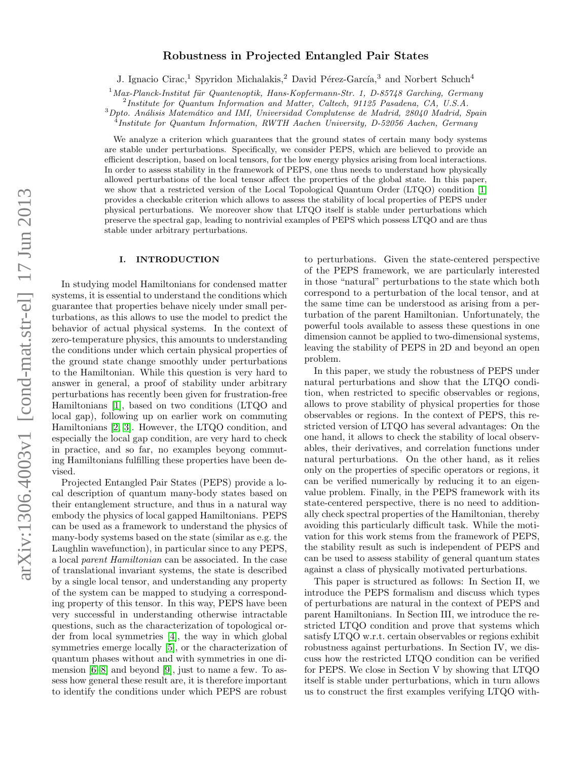# $arXiv:1306.4003v1$  [cond-mat.str-el] 17 Jun 2013 arXiv:1306.4003v1 [cond-mat.str-el] 17 Jun 2013

# Robustness in Projected Entangled Pair States

J. Ignacio Cirac,<sup>1</sup> Spyridon Michalakis,<sup>2</sup> David Pérez-García,<sup>3</sup> and Norbert Schuch<sup>4</sup>

 $1$ Max-Planck-Institut für Quantenoptik, Hans-Kopfermann-Str. 1, D-85748 Garching, Germany

<sup>2</sup>Institute for Quantum Information and Matter, Caltech, 91125 Pasadena, CA, U.S.A.

 $3$  Dpto. Análisis Matemático and IMI, Universidad Complutense de Madrid, 28040 Madrid, Spain

<sup>4</sup> Institute for Quantum Information, RWTH Aachen University, D-52056 Aachen, Germany

We analyze a criterion which guarantees that the ground states of certain many body systems are stable under perturbations. Specifically, we consider PEPS, which are believed to provide an efficient description, based on local tensors, for the low energy physics arising from local interactions. In order to assess stability in the framework of PEPS, one thus needs to understand how physically allowed perturbations of the local tensor affect the properties of the global state. In this paper, we show that a restricted version of the Local Topological Quantum Order (LTQO) condition [\[1\]](#page-8-0) provides a checkable criterion which allows to assess the stability of local properties of PEPS under physical perturbations. We moreover show that LTQO itself is stable under perturbations which preserve the spectral gap, leading to nontrivial examples of PEPS which possess LTQO and are thus stable under arbitrary perturbations.

# I. INTRODUCTION

In studying model Hamiltonians for condensed matter systems, it is essential to understand the conditions which guarantee that properties behave nicely under small perturbations, as this allows to use the model to predict the behavior of actual physical systems. In the context of zero-temperature physics, this amounts to understanding the conditions under which certain physical properties of the ground state change smoothly under perturbations to the Hamiltonian. While this question is very hard to answer in general, a proof of stability under arbitrary perturbations has recently been given for frustration-free Hamiltonians [\[1\]](#page-8-0), based on two conditions (LTQO and local gap), following up on earlier work on commuting Hamiltonians [\[2,](#page-8-1) [3\]](#page-9-0). However, the LTQO condition, and especially the local gap condition, are very hard to check in practice, and so far, no examples beyong commuting Hamiltonians fulfilling these properties have been devised.

Projected Entangled Pair States (PEPS) provide a local description of quantum many-body states based on their entanglement structure, and thus in a natural way embody the physics of local gapped Hamiltonians. PEPS can be used as a framework to understand the physics of many-body systems based on the state (similar as e.g. the Laughlin wavefunction), in particular since to any PEPS, a local parent Hamiltonian can be associated. In the case of translational invariant systems, the state is described by a single local tensor, and understanding any property of the system can be mapped to studying a corresponding property of this tensor. In this way, PEPS have been very successful in understanding otherwise intractable questions, such as the characterization of topological order from local symmetries [\[4\]](#page-9-1), the way in which global symmetries emerge locally [\[5\]](#page-9-2), or the characterization of quantum phases without and with symmetries in one dimension [\[6](#page-9-3)[–8\]](#page-9-4) and beyond [\[9\]](#page-9-5), just to name a few. To assess how general these result are, it is therefore important to identify the conditions under which PEPS are robust

to perturbations. Given the state-centered perspective of the PEPS framework, we are particularly interested in those "natural" perturbations to the state which both correspond to a perturbation of the local tensor, and at the same time can be understood as arising from a perturbation of the parent Hamiltonian. Unfortunately, the powerful tools available to assess these questions in one dimension cannot be applied to two-dimensional systems, leaving the stability of PEPS in 2D and beyond an open problem.

In this paper, we study the robustness of PEPS under natural perturbations and show that the LTQO condition, when restricted to specific observables or regions, allows to prove stability of physical properties for those observables or regions. In the context of PEPS, this restricted version of LTQO has several advantages: On the one hand, it allows to check the stability of local observables, their derivatives, and correlation functions under natural perturbations. On the other hand, as it relies only on the properties of specific operators or regions, it can be verified numerically by reducing it to an eigenvalue problem. Finally, in the PEPS framework with its state-centered perspective, there is no need to additionally check spectral properties of the Hamiltonian, thereby avoiding this particularly difficult task. While the motivation for this work stems from the framework of PEPS, the stability result as such is independent of PEPS and can be used to assess stability of general quantum states against a class of physically motivated perturbations.

This paper is structured as follows: In Section II, we introduce the PEPS formalism and discuss which types of perturbations are natural in the context of PEPS and parent Hamiltonians. In Section III, we introduce the restricted LTQO condition and prove that systems which satisfy LTQO w.r.t. certain observables or regions exhibit robustness against perturbations. In Section IV, we discuss how the restricted LTQO condition can be verified for PEPS. We close in Section V by showing that LTQO itself is stable under perturbations, which in turn allows us to construct the first examples verifying LTQO with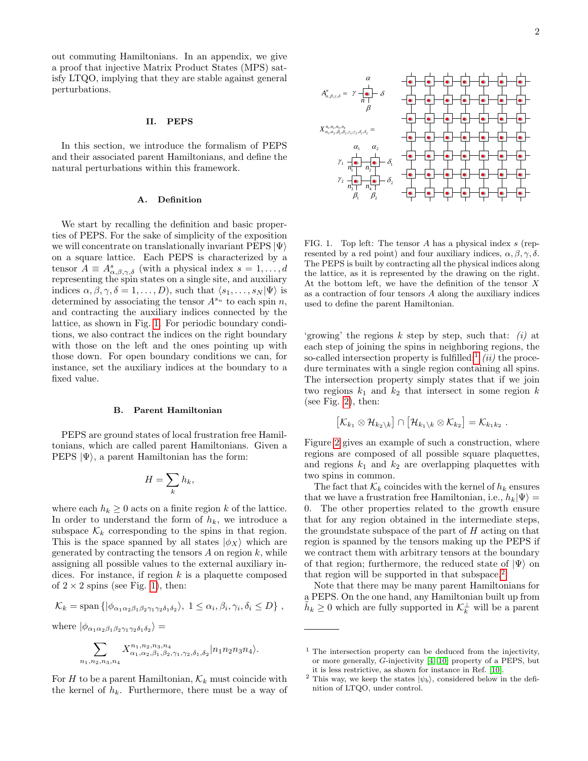out commuting Hamiltonians. In an appendix, we give a proof that injective Matrix Product States (MPS) satisfy LTQO, implying that they are stable against general perturbations.

# II. PEPS

In this section, we introduce the formalism of PEPS and their associated parent Hamiltonians, and define the natural perturbations within this framework.

# A. Definition

We start by recalling the definition and basic properties of PEPS. For the sake of simplicity of the exposition we will concentrate on translationally invariant PEPS  $|\Psi\rangle$ on a square lattice. Each PEPS is characterized by a tensor  $A \equiv A^s_{\alpha,\beta,\gamma,\delta}$  (with a physical index  $s = 1, \ldots, d$ representing the spin states on a single site, and auxiliary indices  $\alpha, \beta, \gamma, \delta = 1, \ldots, D$ , such that  $\langle s_1, \ldots, s_N | \Psi \rangle$  is determined by associating the tensor  $A^{s_n}$  to each spin n, and contracting the auxiliary indices connected by the lattice, as shown in Fig. [1.](#page-1-0) For periodic boundary conditions, we also contract the indices on the right boundary with those on the left and the ones pointing up with those down. For open boundary conditions we can, for instance, set the auxiliary indices at the boundary to a fixed value.

# <span id="page-1-3"></span>B. Parent Hamiltonian

PEPS are ground states of local frustration free Hamiltonians, which are called parent Hamiltonians. Given a PEPS  $|\Psi\rangle$ , a parent Hamiltonian has the form:

$$
H=\sum_k h_k,
$$

where each  $h_k \geq 0$  acts on a finite region k of the lattice. In order to understand the form of  $h_k$ , we introduce a subspace  $\mathcal{K}_k$  corresponding to the spins in that region. This is the space spanned by all states  $|\phi_X\rangle$  which are generated by contracting the tensors  $A$  on region  $k$ , while assigning all possible values to the external auxiliary indices. For instance, if region  $k$  is a plaquette composed of  $2 \times 2$  spins (see Fig. [1\)](#page-1-0), then:

$$
\mathcal{K}_k = \text{span}\left\{ |\phi_{\alpha_1 \alpha_2 \beta_1 \beta_2 \gamma_1 \gamma_2 \delta_1 \delta_2} \rangle, 1 \leq \alpha_i, \beta_i, \gamma_i, \delta_i \leq D \right\},\
$$

where 
$$
|\phi_{\alpha_1\alpha_2\beta_1\beta_2\gamma_1\gamma_2\delta_1\delta_2}\rangle =
$$

$$
\sum_{n_1,n_2,n_3,n_4} X^{n_1,n_2,n_3,n_4}_{\alpha_1,\alpha_2,\beta_1,\beta_2,\gamma_1,\gamma_2,\delta_1,\delta_2} |n_1n_2n_3n_4\rangle.
$$

For H to be a parent Hamiltonian,  $\mathcal{K}_k$  must coincide with the kernel of  $h_k$ . Furthermore, there must be a way of



<span id="page-1-0"></span>FIG. 1. Top left: The tensor A has a physical index s (represented by a red point) and four auxiliary indices,  $\alpha$ ,  $\beta$ ,  $\gamma$ ,  $\delta$ . The PEPS is built by contracting all the physical indices along the lattice, as it is represented by the drawing on the right. At the bottom left, we have the definition of the tensor  $X$ as a contraction of four tensors A along the auxiliary indices used to define the parent Hamiltonian.

'growing' the regions  $k$  step by step, such that:  $(i)$  at each step of joining the spins in neighboring regions, the so-called intersection property is fulfilled;<sup>[1](#page-1-1)</sup> *(ii)* the procedure terminates with a single region containing all spins. The intersection property simply states that if we join two regions  $k_1$  and  $k_2$  that intersect in some region k (see Fig. [2\)](#page-2-0), then:

$$
\left[\mathcal{K}_{k_1}\otimes\mathcal{H}_{k_2\setminus k}\right]\cap\left[\mathcal{H}_{k_1\setminus k}\otimes\mathcal{K}_{k_2}\right]=\mathcal{K}_{k_1k_2}\ .
$$

Figure [2](#page-2-0) gives an example of such a construction, where regions are composed of all possible square plaquettes, and regions  $k_1$  and  $k_2$  are overlapping plaquettes with two spins in common.

The fact that  $\mathcal{K}_k$  coincides with the kernel of  $h_k$  ensures that we have a frustration free Hamiltonian, i.e.,  $h_k|\Psi\rangle =$ 0. The other properties related to the growth ensure that for any region obtained in the intermediate steps, the groundstate subspace of the part of  $H$  acting on that region is spanned by the tensors making up the PEPS if we contract them with arbitrary tensors at the boundary of that region; furthermore, the reduced state of  $|\Psi\rangle$  on that region will be supported in that subspace.<sup>[2](#page-1-2)</sup>

Note that there may be many parent Hamiltonians for a PEPS. On the one hand, any Hamiltonian built up from  $\tilde{h}_k \geq 0$  which are fully supported in  $\mathcal{K}_k^{\perp}$  will be a parent

<span id="page-1-1"></span> $<sup>1</sup>$  The intersection property can be deduced from the injectivity,</sup> or more generally, G-injectivity [\[4,](#page-9-1) [10\]](#page-9-6) property of a PEPS, but it is less restrictive, as shown for instance in Ref. [\[10\]](#page-9-6).

<span id="page-1-2"></span> $^2$  This way, we keep the states  $|\psi_b\rangle,$  considered below in the definition of LTQO, under control.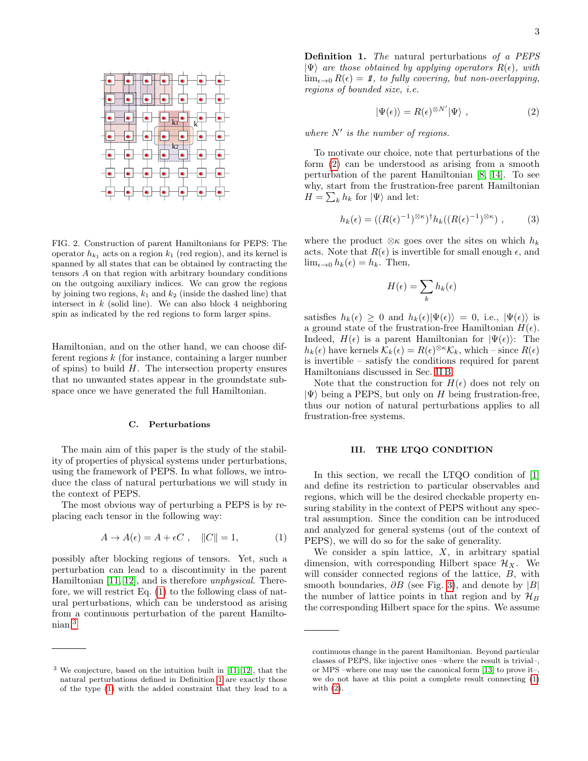

<span id="page-2-0"></span>FIG. 2. Construction of parent Hamiltonians for PEPS: The operator  $h_{k_1}$  acts on a region  $k_1$  (red region), and its kernel is spanned by all states that can be obtained by contracting the tensors A on that region with arbitrary boundary conditions on the outgoing auxiliary indices. We can grow the regions by joining two regions,  $k_1$  and  $k_2$  (inside the dashed line) that intersect in  $k$  (solid line). We can also block 4 neighboring spin as indicated by the red regions to form larger spins.

Hamiltonian, and on the other hand, we can choose different regions  $k$  (for instance, containing a larger number of spins) to build  $H$ . The intersection property ensures that no unwanted states appear in the groundstate subspace once we have generated the full Hamiltonian.

### C. Perturbations

The main aim of this paper is the study of the stability of properties of physical systems under perturbations, using the framework of PEPS. In what follows, we introduce the class of natural perturbations we will study in the context of PEPS.

The most obvious way of perturbing a PEPS is by replacing each tensor in the following way:

<span id="page-2-1"></span>
$$
A \to A(\epsilon) = A + \epsilon C \;, \quad ||C|| = 1,\tag{1}
$$

possibly after blocking regions of tensors. Yet, such a perturbation can lead to a discontinuity in the parent Hamiltonian [\[11,](#page-9-7) [12\]](#page-9-8), and is therefore unphysical. Therefore, we will restrict Eq. [\(1\)](#page-2-1) to the following class of natural perturbations, which can be understood as arising from a continuous perturbation of the parent Hamiltonian.[3](#page-2-2)

<span id="page-2-3"></span>Definition 1. The natural perturbations of a PEPS  $|\Psi\rangle$  are those obtained by applying operators  $R(\epsilon)$ , with  $\lim_{\epsilon \to 0} R(\epsilon) = 1$ , to fully covering, but non-overlapping, regions of bounded size, i.e.

<span id="page-2-4"></span>
$$
|\Psi(\epsilon)\rangle = R(\epsilon)^{\otimes N'}|\Psi\rangle , \qquad (2)
$$

where  $N'$  is the number of regions.

To motivate our choice, note that perturbations of the form [\(2\)](#page-2-4) can be understood as arising from a smooth perturbation of the parent Hamiltonian [\[8,](#page-9-4) [14\]](#page-9-9). To see why, start from the frustration-free parent Hamiltonian  $H = \sum_{k} h_k$  for  $|\Psi\rangle$  and let:

<span id="page-2-5"></span>
$$
h_k(\epsilon) = ((R(\epsilon)^{-1})^{\otimes \kappa})^{\dagger} h_k((R(\epsilon)^{-1})^{\otimes \kappa}), \quad (3)
$$

where the product  $\otimes \kappa$  goes over the sites on which  $h_k$ acts. Note that  $R(\epsilon)$  is invertible for small enough  $\epsilon$ , and  $\lim_{\epsilon \to 0} h_k(\epsilon) = h_k$ . Then,

$$
H(\epsilon) = \sum_{k} h_k(\epsilon)
$$

satisfies  $h_k(\epsilon) \geq 0$  and  $h_k(\epsilon)|\Psi(\epsilon)\rangle = 0$ , i.e.,  $|\Psi(\epsilon)\rangle$  is a ground state of the frustration-free Hamiltonian  $H(\epsilon)$ . Indeed,  $H(\epsilon)$  is a parent Hamiltonian for  $|\Psi(\epsilon)\rangle$ : The  $h_k(\epsilon)$  have kernels  $\mathcal{K}_k(\epsilon) = R(\epsilon)^{\otimes \kappa} \mathcal{K}_k$ , which – since  $R(\epsilon)$ is invertible – satisfy the conditions required for parent Hamiltonians discussed in Sec. [II B.](#page-1-3)

Note that the construction for  $H(\epsilon)$  does not rely on  $|\Psi\rangle$  being a PEPS, but only on H being frustration-free, thus our notion of natural perturbations applies to all frustration-free systems.

# III. THE LTQO CONDITION

In this section, we recall the LTQO condition of [\[1\]](#page-8-0) and define its restriction to particular observables and regions, which will be the desired checkable property ensuring stability in the context of PEPS without any spectral assumption. Since the condition can be introduced and analyzed for general systems (out of the context of PEPS), we will do so for the sake of generality.

We consider a spin lattice,  $X$ , in arbitrary spatial dimension, with corresponding Hilbert space  $\mathcal{H}_X$ . We will consider connected regions of the lattice,  $B$ , with smooth boundaries,  $\partial B$  (see Fig. [3\)](#page-3-0), and denote by |B| the number of lattice points in that region and by  $\mathcal{H}_B$ the corresponding Hilbert space for the spins. We assume

<span id="page-2-2"></span><sup>3</sup> We conjecture, based on the intuition built in [\[11,](#page-9-7) [12\]](#page-9-8), that the natural perturbations defined in Definition [1](#page-2-3) are exactly those of the type [\(1\)](#page-2-1) with the added constraint that they lead to a

continuous change in the parent Hamiltonian. Beyond particular classes of PEPS, like injective ones –where the result is trivial–, or MPS –where one may use the canonical form [\[13\]](#page-9-10) to prove it–, we do not have at this point a complete result connecting [\(1\)](#page-2-1) with [\(2\)](#page-2-4).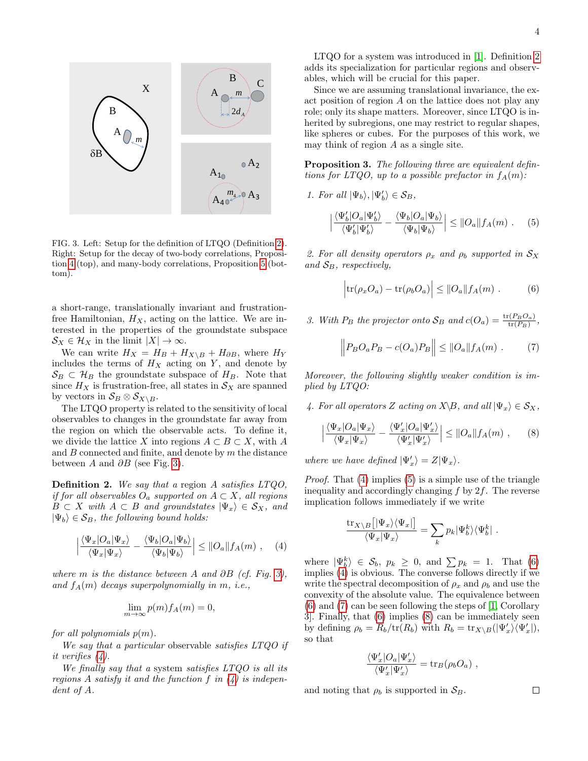

<span id="page-3-0"></span>FIG. 3. Left: Setup for the definition of LTQO (Definition [2\)](#page-3-1). Right: Setup for the decay of two-body correlations, Proposition [4](#page-4-0) (top), and many-body correlations, Proposition [5](#page-4-1) (bottom).

a short-range, translationally invariant and frustrationfree Hamiltonian,  $H_X$ , acting on the lattice. We are interested in the properties of the groundstate subspace  $\mathcal{S}_X \in \mathcal{H}_X$  in the limit  $|X| \to \infty$ .

We can write  $H_X = H_B + H_{X\setminus B} + H_{\partial B}$ , where  $H_Y$ includes the terms of  $H_X$  acting on Y, and denote by  $\mathcal{S}_B \subset \mathcal{H}_B$  the groundstate subspace of  $H_B$ . Note that since  $H_X$  is frustration-free, all states in  $\mathcal{S}_X$  are spanned by vectors in  $S_B \otimes S_{X\setminus B}$ .

The LTQO property is related to the sensitivity of local observables to changes in the groundstate far away from the region on which the observable acts. To define it, we divide the lattice X into regions  $A \subset B \subset X$ , with A and  $B$  connected and finite, and denote by  $m$  the distance between A and  $\partial B$  (see Fig. [3\)](#page-3-0).

<span id="page-3-1"></span>Definition 2. We say that a region A satisfies LTQO, if for all observables  $O_a$  supported on  $A \subset X$ , all regions  $B \subset X$  with  $A \subset B$  and groundstates  $|\Psi_x\rangle \in S_X$ , and  $|\Psi_b\rangle \in S_B$ , the following bound holds:

<span id="page-3-2"></span>
$$
\left| \frac{\langle \Psi_x | O_a | \Psi_x \rangle}{\langle \Psi_x | \Psi_x \rangle} - \frac{\langle \Psi_b | O_a | \Psi_b \rangle}{\langle \Psi_b | \Psi_b \rangle} \right| \leq ||O_a|| f_A(m) , \quad (4)
$$

where m is the distance between A and ∂B (cf. Fig. [3\)](#page-3-0), and  $f_A(m)$  decays superpolynomially in m, i.e.,

$$
\lim_{m \to \infty} p(m) f_A(m) = 0,
$$

for all polynomials  $p(m)$ .

We say that a particular observable satisfies LTQO if it verifies [\(4\)](#page-3-2).

We finally say that a system satisfies  $LTQO$  is all its regions A satisfy it and the function f in  $(4)$  is independent of A.

LTQO for a system was introduced in [\[1\]](#page-8-0). Definition [2](#page-3-1) adds its specialization for particular regions and observables, which will be crucial for this paper.

Since we are assuming translational invariance, the exact position of region A on the lattice does not play any role; only its shape matters. Moreover, since LTQO is inherited by subregions, one may restrict to regular shapes, like spheres or cubes. For the purposes of this work, we may think of region A as a single site.

Proposition 3. The following three are equivalent defintions for LTQO, up to a possible prefactor in  $f_A(m)$ :

1. For all  $|\Psi_b\rangle, |\Psi'_b\rangle \in S_B$ ,

<span id="page-3-3"></span>
$$
\left| \frac{\langle \Psi'_b | O_a | \Psi'_b \rangle}{\langle \Psi'_b | \Psi'_b \rangle} - \frac{\langle \Psi_b | O_a | \Psi_b \rangle}{\langle \Psi_b | \Psi_b \rangle} \right| \leq ||O_a|| f_A(m) . \quad (5)
$$

2. For all density operators  $\rho_x$  and  $\rho_b$  supported in  $\mathcal{S}_X$ and  $S_B$ , respectively,

<span id="page-3-4"></span>
$$
\left|\text{tr}(\rho_x O_a) - \text{tr}(\rho_b O_a)\right| \leq ||O_a|| f_A(m) . \tag{6}
$$

3. With  $P_B$  the projector onto  $S_B$  and  $c(O_a) = \frac{\text{tr}(P_B O_a)}{\text{tr}(P_B)}$ ,

<span id="page-3-5"></span>
$$
\left\| P_B O_a P_B - c(O_a) P_B \right\| \leq \| O_a \| f_A(m) . \tag{7}
$$

Moreover, the following slightly weaker condition is implied by LTQO:

4. For all operators Z acting on  $X\setminus B$ , and all  $|\Psi_x\rangle \in \mathcal{S}_X$ ,

<span id="page-3-6"></span>
$$
\left| \frac{\langle \Psi_x | O_a | \Psi_x \rangle}{\langle \Psi_x | \Psi_x \rangle} - \frac{\langle \Psi_x' | O_a | \Psi_x' \rangle}{\langle \Psi_x' | \Psi_x' \rangle} \right| \le ||O_a|| f_A(m) , \qquad (8)
$$

where we have defined  $|\Psi'_x\rangle = Z|\Psi_x\rangle$ .

Proof. That [\(4\)](#page-3-2) implies [\(5\)](#page-3-3) is a simple use of the triangle inequality and accordingly changing  $f$  by  $2f$ . The reverse implication follows immediately if we write

$$
\frac{\mathrm{tr}_{X\setminus B}\left[|\Psi_x\rangle\langle\Psi_x|\right]}{\langle\Psi_x|\Psi_x\rangle} = \sum_k p_k |\Psi_b^k\rangle\langle\Psi_b^k|.
$$

where  $|\Psi_b^k\rangle \in \mathcal{S}_b$ ,  $p_k \geq 0$ , and  $\sum p_k = 1$ . That [\(6\)](#page-3-4) implies [\(4\)](#page-3-2) is obvious. The converse follows directly if we write the spectral decomposition of  $\rho_x$  and  $\rho_b$  and use the convexity of the absolute value. The equivalence between [\(6\)](#page-3-4) and [\(7\)](#page-3-5) can be seen following the steps of [\[1,](#page-8-0) Corollary 3]. Finally, that [\(6\)](#page-3-4) implies [\(8\)](#page-3-6) can be immediately seen by defining  $\rho_b = R_b/\text{tr}(R_b)$  with  $R_b = \text{tr}_{X \setminus B}(|\Psi'_x\rangle \langle \Psi'_x|),$ so that

$$
\frac{\langle \Psi_x' | O_a | \Psi_x' \rangle}{\langle \Psi_x' | \Psi_x' \rangle} = \text{tr}_B(\rho_b O_a) \ ,
$$

and noting that  $\rho_b$  is supported in  $\mathcal{S}_B$ .

 $\Box$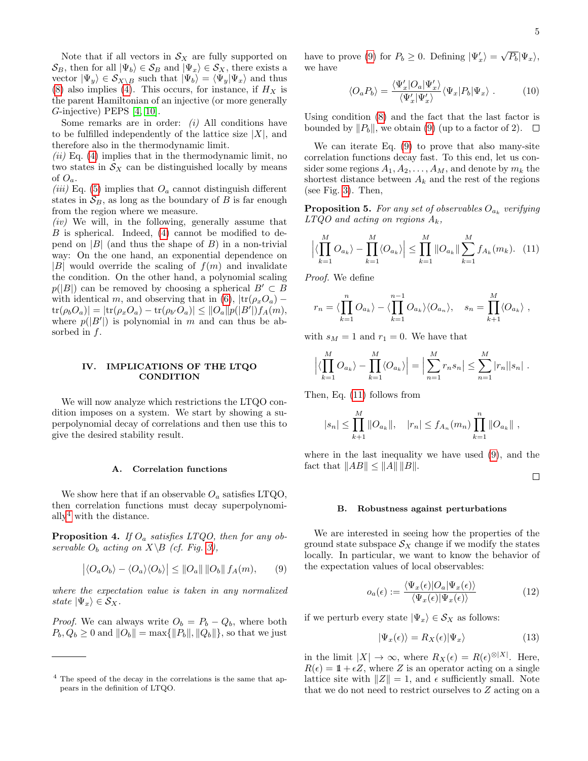Note that if all vectors in  $\mathcal{S}_X$  are fully supported on  $\mathcal{S}_B$ , then for all  $|\Psi_b\rangle \in \mathcal{S}_B$  and  $|\Psi_x\rangle \in \mathcal{S}_X$ , there exists a vector  $|\Psi_y\rangle \in \mathcal{S}_{X \setminus B}$  such that  $|\Psi_b\rangle = \langle \Psi_y | \Psi_x \rangle$  and thus [\(8\)](#page-3-6) also implies [\(4\)](#page-3-2). This occurs, for instance, if  $H_X$  is the parent Hamiltonian of an injective (or more generally G-injective) PEPS [\[4,](#page-9-1) [10\]](#page-9-6).

Some remarks are in order:  $(i)$  All conditions have to be fulfilled independently of the lattice size  $|X|$ , and therefore also in the thermodynamic limit.

 $(ii)$  Eq. [\(4\)](#page-3-2) implies that in the thermodynamic limit, no two states in  $\mathcal{S}_X$  can be distinguished locally by means of  $O_a$ .

(iii) Eq. [\(5\)](#page-3-3) implies that  $O_a$  cannot distinguish different states in  $S_B$ , as long as the boundary of B is far enough from the region where we measure.

 $(iv)$  We will, in the following, generally assume that  $B$  is spherical. Indeed,  $(4)$  cannot be modified to depend on  $|B|$  (and thus the shape of  $B$ ) in a non-trivial way: On the one hand, an exponential dependence on  $|B|$  would override the scaling of  $f(m)$  and invalidate the condition. On the other hand, a polynomial scaling  $p(|B|)$  can be removed by choosing a spherical  $B' \subset B$ with identical m, and observing that in [\(6\)](#page-3-4),  $|\text{tr}(\rho_xO_a) \text{tr}(\rho_b O_a)| = |\text{tr}(\rho_x O_a) - \text{tr}(\rho_{b'} O_a)| \leq ||O_a|| p(|B'|) f_A(m),$ where  $p(|B'|)$  is polynomial in m and can thus be absorbed in f.

### IV. IMPLICATIONS OF THE LTQO **CONDITION**

We will now analyze which restrictions the LTQO condition imposes on a system. We start by showing a superpolynomial decay of correlations and then use this to give the desired stability result.

# A. Correlation functions

We show here that if an observable  $O_a$  satisfies LTQO, then correlation functions must decay superpolynomi-ally<sup>[4](#page-4-2)</sup> with the distance.

<span id="page-4-0"></span>**Proposition 4.** If  $O_a$  satisfies LTQO, then for any observable  $O_b$  acting on  $X \setminus B$  (cf. Fig. [3\)](#page-3-0),

<span id="page-4-3"></span>
$$
\left| \langle O_a O_b \rangle - \langle O_a \rangle \langle O_b \rangle \right| \leq ||O_a|| \, ||O_b|| \, f_A(m), \qquad (9)
$$

where the expectation value is taken in any normalized state  $|\Psi_x\rangle \in \mathcal{S}_X$ .

*Proof.* We can always write  $O_b = P_b - Q_b$ , where both  $P_b, Q_b \ge 0$  and  $||O_b|| = \max{||P_b||, ||Q_b||}$ , so that we just

have to prove [\(9\)](#page-4-3) for  $P_b \ge 0$ . Defining  $|\Psi'_x\rangle = \sqrt{P_b} |\Psi_x\rangle$ , we have

$$
\langle O_a P_b \rangle = \frac{\langle \Psi_x' | O_a | \Psi_x' \rangle}{\langle \Psi_x' | \Psi_x' \rangle} \langle \Psi_x | P_b | \Psi_x \rangle . \tag{10}
$$

Using condition [\(8\)](#page-3-6) and the fact that the last factor is bounded by  $||P_b||$ , we obtain [\(9\)](#page-4-3) (up to a factor of 2).  $\Box$ 

We can iterate Eq. [\(9\)](#page-4-3) to prove that also many-site correlation functions decay fast. To this end, let us consider some regions  $A_1, A_2, \ldots, A_M$ , and denote by  $m_k$  the shortest distance between  $A_k$  and the rest of the regions (see Fig. [3\)](#page-3-0). Then,

<span id="page-4-1"></span>**Proposition 5.** For any set of observables  $O_{a_k}$  verifying  $LTQO$  and acting on regions  $A_k$ ,

<span id="page-4-4"></span>
$$
\left| \langle \prod_{k=1}^{M} O_{a_k} \rangle - \prod_{k=1}^{M} \langle O_{a_k} \rangle \right| \leq \prod_{k=1}^{M} || O_{a_k} || \sum_{k=1}^{M} f_{A_k}(m_k). \tag{11}
$$

Proof. We define

$$
r_n = \langle \prod_{k=1}^n O_{a_k} \rangle - \langle \prod_{k=1}^{n-1} O_{a_k} \rangle \langle O_{a_n} \rangle, \quad s_n = \prod_{k=1}^M \langle O_{a_k} \rangle,
$$

with  $s_M = 1$  and  $r_1 = 0$ . We have that

$$
\left| \langle \prod_{k=1}^M O_{a_k} \rangle - \prod_{k=1}^M \langle O_{a_k} \rangle \right| = \left| \sum_{n=1}^M r_n s_n \right| \leq \sum_{n=1}^M |r_n| |s_n|.
$$

Then, Eq. [\(11\)](#page-4-4) follows from

$$
|s_n| \le \prod_{k=1}^M ||O_{a_k}||
$$
,  $|r_n| \le f_{A_n}(m_n) \prod_{k=1}^n ||O_{a_k}||$ ,

where in the last inequality we have used [\(9\)](#page-4-3), and the fact that  $||AB|| \le ||A|| ||B||$ .

 $\Box$ 

### B. Robustness against perturbations

We are interested in seeing how the properties of the ground state subspace  $\mathcal{S}_X$  change if we modify the states locally. In particular, we want to know the behavior of the expectation values of local observables:

<span id="page-4-6"></span>
$$
o_a(\epsilon) := \frac{\langle \Psi_x(\epsilon) | O_a | \Psi_x(\epsilon) \rangle}{\langle \Psi_x(\epsilon) | \Psi_x(\epsilon) \rangle} \tag{12}
$$

if we perturb every state  $|\Psi_x\rangle \in \mathcal{S}_X$  as follows:

<span id="page-4-5"></span>
$$
|\Psi_x(\epsilon)\rangle = R_X(\epsilon)|\Psi_x\rangle \tag{13}
$$

in the limit  $|X| \to \infty$ , where  $R_X(\epsilon) = R(\epsilon)^{\otimes |X|}$ . Here,  $R(\epsilon) = 1 + \epsilon Z$ , where Z is an operator acting on a single lattice site with  $||Z|| = 1$ , and  $\epsilon$  sufficiently small. Note that we do not need to restrict ourselves to Z acting on a

<span id="page-4-2"></span><sup>4</sup> The speed of the decay in the correlations is the same that appears in the definition of LTQO.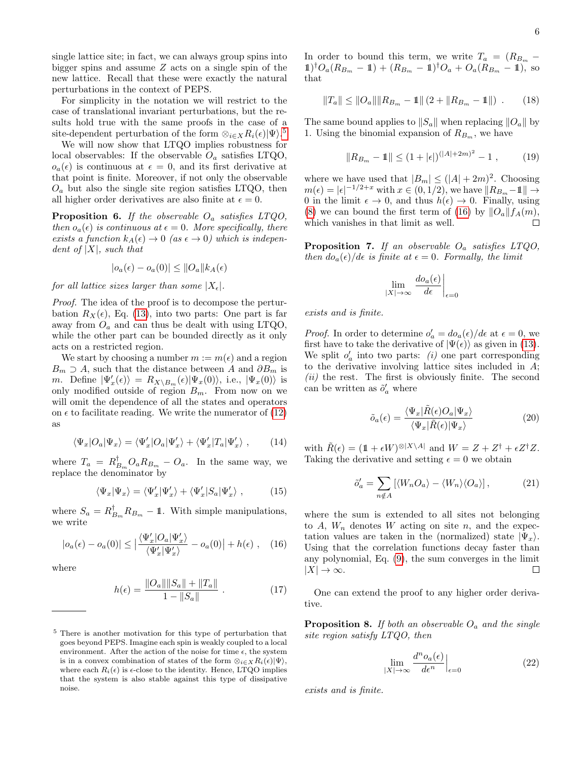single lattice site; in fact, we can always group spins into bigger spins and assume Z acts on a single spin of the new lattice. Recall that these were exactly the natural perturbations in the context of PEPS.

For simplicity in the notation we will restrict to the case of translational invariant perturbations, but the results hold true with the same proofs in the case of a site-dependent perturbation of the form  $\otimes_{i \in X} R_i(\epsilon) |\Psi\rangle$ .<sup>[5](#page-5-0)</sup>

We will now show that LTQO implies robustness for local observables: If the observable  $O_a$  satisfies LTQO,  $o_a(\epsilon)$  is continuous at  $\epsilon = 0$ , and its first derivative at that point is finite. Moreover, if not only the observable  $O_a$  but also the single site region satisfies LTQO, then all higher order derivatives are also finite at  $\epsilon = 0$ .

**Proposition 6.** If the observable  $O_a$  satisfies LTQO, then  $o_a(\epsilon)$  is continuous at  $\epsilon = 0$ . More specifically, there exists a function  $k_A(\epsilon) \to 0$  (as  $\epsilon \to 0$ ) which is independent of  $|X|$ , such that

$$
|o_a(\epsilon) - o_a(0)| \leq ||O_a|| k_A(\epsilon)
$$

for all lattice sizes larger than some  $|X_{\epsilon}|$ .

Proof. The idea of the proof is to decompose the perturbation  $R_X(\epsilon)$ , Eq. [\(13\)](#page-4-5), into two parts: One part is far away from  $O_a$  and can thus be dealt with using LTQO, while the other part can be bounded directly as it only acts on a restricted region.

We start by choosing a number  $m := m(\epsilon)$  and a region  $B_m \supset A$ , such that the distance between A and  $\partial B_m$  is *m*. Define  $|\Psi'_x(\epsilon)\rangle = R_{X\setminus B_m}(\epsilon)|\Psi_x(0)\rangle$ , i.e.,  $|\Psi_x(0)\rangle$  is only modified outside of region  $B_m$ . From now on we will omit the dependence of all the states and operators on  $\epsilon$  to facilitate reading. We write the numerator of [\(12\)](#page-4-6) as

$$
\langle \Psi_x | O_a | \Psi_x \rangle = \langle \Psi'_x | O_a | \Psi'_x \rangle + \langle \Psi'_x | T_a | \Psi'_x \rangle , \qquad (14)
$$

where  $T_a = R_{B_m}^{\dagger} O_a R_{B_m} - O_a$ . In the same way, we replace the denominator by

$$
\langle \Psi_x | \Psi_x \rangle = \langle \Psi'_x | \Psi'_x \rangle + \langle \Psi'_x | S_a | \Psi'_x \rangle , \qquad (15)
$$

where  $S_a = R_{B_m}^{\dagger} R_{B_m} - 1$ . With simple manipulations, we write

<span id="page-5-1"></span>
$$
|o_a(\epsilon) - o_a(0)| \le \left| \frac{\langle \Psi_x' | O_a | \Psi_x' \rangle}{\langle \Psi_x' | \Psi_x' \rangle} - o_a(0) \right| + h(\epsilon) , \quad (16)
$$

where

$$
h(\epsilon) = \frac{\|O_a\| \|S_a\| + \|T_a\|}{1 - \|S_a\|} \ . \tag{17}
$$

In order to bound this term, we write  $T_a = (R_{B_m} 1\text{)}^{\dagger}O_a(R_{B_m} - 1\!\!1) + (R_{B_m} - 1\!\!1)^{\dagger}O_a + O_a(R_{B_m} - 1\!\!1),$  so that

$$
||T_a|| \le ||O_a|| ||R_{B_m} - 1|| (2 + ||R_{B_m} - 1||) . \qquad (18)
$$

The same bound applies to  $||S_a||$  when replacing  $||O_a||$  by 1. Using the binomial expansion of  $R_{B_m}$ , we have

$$
||R_{B_m} - 1|| \le (1 + |\epsilon|)^{(|A| + 2m)^2} - 1 , \qquad (19)
$$

where we have used that  $|B_m| \leq (|A| + 2m)^2$ . Choosing  $m(\epsilon) = |\epsilon|^{-1/2+x}$  with  $x \in (0,1/2)$ , we have  $||R_{B_m}-1|| \to$ 0 in the limit  $\epsilon \to 0$ , and thus  $h(\epsilon) \to 0$ . Finally, using [\(8\)](#page-3-6) we can bound the first term of [\(16\)](#page-5-1) by  $||O_a||f_A(m)$ , which vanishes in that limit as well.  $\Box$ 

**Proposition 7.** If an observable  $O_a$  satisfies LTQO, then  $d\sigma_a(\epsilon)/d\epsilon$  is finite at  $\epsilon = 0$ . Formally, the limit

$$
\lim_{|X| \to \infty} \left. \frac{d o_a(\epsilon)}{d \epsilon} \right|_{\epsilon=0}
$$

exists and is finite.

*Proof.* In order to determine  $o'_a = d o_a(\epsilon)/d\epsilon$  at  $\epsilon = 0$ , we first have to take the derivative of  $|\Psi(\epsilon)\rangle$  as given in [\(13\)](#page-4-5). We split  $o'_a$  into two parts: (i) one part corresponding to the derivative involving lattice sites included in A;  $(ii)$  the rest. The first is obviously finite. The second can be written as  $\tilde{o}'_a$  where

$$
\tilde{o}_a(\epsilon) = \frac{\langle \Psi_x | \tilde{R}(\epsilon) O_a | \Psi_x \rangle}{\langle \Psi_x | \tilde{R}(\epsilon) | \Psi_x \rangle} \tag{20}
$$

with  $\tilde{R}(\epsilon) = (\mathbb{1} + \epsilon W)^{\otimes |X \setminus A|}$  and  $W = Z + Z^{\dagger} + \epsilon Z^{\dagger} Z$ . Taking the derivative and setting  $\epsilon = 0$  we obtain

$$
\tilde{o}'_a = \sum_{n \notin A} \left[ \langle W_n O_a \rangle - \langle W_n \rangle \langle O_a \rangle \right],\tag{21}
$$

where the sum is extended to all sites not belonging to  $A$ ,  $W_n$  denotes  $W$  acting on site  $n$ , and the expectation values are taken in the (normalized) state  $|\Psi_x\rangle$ . Using that the correlation functions decay faster than any polynomial, Eq. [\(9\)](#page-4-3), the sum converges in the limit  $|X| \to \infty$ .  $\Box$ 

One can extend the proof to any higher order derivative.

<span id="page-5-2"></span>**Proposition 8.** If both an observable  $O_a$  and the single site region satisfy LTQO, then

$$
\lim_{|X| \to \infty} \frac{d^n o_a(\epsilon)}{d\epsilon^n} \Big|_{\epsilon=0} \tag{22}
$$

exists and is finite.

<span id="page-5-0"></span><sup>5</sup> There is another motivation for this type of perturbation that goes beyond PEPS. Imagine each spin is weakly coupled to a local environment. After the action of the noise for time  $\epsilon$ , the system is in a convex combination of states of the form  $\otimes_{i\in X} R_i(\epsilon) |\Psi\rangle$ , where each  $R_i(\epsilon)$  is  $\epsilon$ -close to the identity. Hence, LTQO implies that the system is also stable against this type of dissipative noise.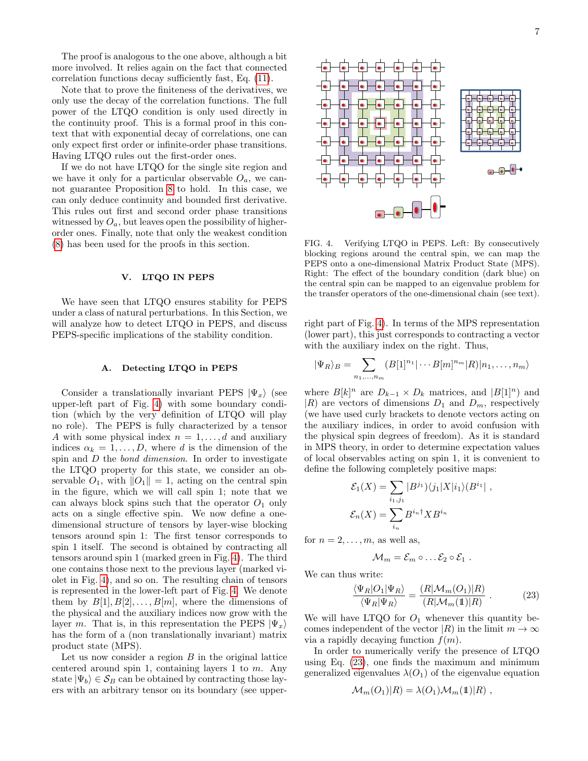The proof is analogous to the one above, although a bit more involved. It relies again on the fact that connected correlation functions decay sufficiently fast, Eq. [\(11\)](#page-4-4).

Note that to prove the finiteness of the derivatives, we only use the decay of the correlation functions. The full power of the LTQO condition is only used directly in the continuity proof. This is a formal proof in this context that with exponential decay of correlations, one can only expect first order or infinite-order phase transitions. Having LTQO rules out the first-order ones.

If we do not have LTQO for the single site region and we have it only for a particular observable  $O_a$ , we cannot guarantee Proposition [8](#page-5-2) to hold. In this case, we can only deduce continuity and bounded first derivative. This rules out first and second order phase transitions witnessed by  $O_a$ , but leaves open the possibility of higherorder ones. Finally, note that only the weakest condition [\(8\)](#page-3-6) has been used for the proofs in this section.

# V. LTQO IN PEPS

We have seen that LTQO ensures stability for PEPS under a class of natural perturbations. In this Section, we will analyze how to detect LTQO in PEPS, and discuss PEPS-specific implications of the stability condition.

### A. Detecting LTQO in PEPS

Consider a translationally invariant PEPS  $|\Psi_x\rangle$  (see upper-left part of Fig. [4\)](#page-6-0) with some boundary condition (which by the very definition of LTQO will play no role). The PEPS is fully characterized by a tensor A with some physical index  $n = 1, \ldots, d$  and auxiliary indices  $\alpha_k = 1, \ldots, D$ , where d is the dimension of the spin and D the *bond dimension*. In order to investigate the LTQO property for this state, we consider an observable  $O_1$ , with  $||O_1|| = 1$ , acting on the central spin in the figure, which we will call spin 1; note that we can always block spins such that the operator  $O_1$  only acts on a single effective spin. We now define a onedimensional structure of tensors by layer-wise blocking tensors around spin 1: The first tensor corresponds to spin 1 itself. The second is obtained by contracting all tensors around spin 1 (marked green in Fig. [4\)](#page-6-0). The third one contains those next to the previous layer (marked violet in Fig. [4\)](#page-6-0), and so on. The resulting chain of tensors is represented in the lower-left part of Fig. [4.](#page-6-0) We denote them by  $B[1], B[2], \ldots, B[m]$ , where the dimensions of the physical and the auxiliary indices now grow with the layer m. That is, in this representation the PEPS  $|\Psi_x\rangle$ has the form of a (non translationally invariant) matrix product state (MPS).

Let us now consider a region  $B$  in the original lattice centered around spin 1, containing layers 1 to  $m$ . Any state  $|\Psi_b\rangle \in \mathcal{S}_B$  can be obtained by contracting those layers with an arbitrary tensor on its boundary (see upper-



<span id="page-6-0"></span>FIG. 4. Verifying LTQO in PEPS. Left: By consecutively blocking regions around the central spin, we can map the PEPS onto a one-dimensional Matrix Product State (MPS). Right: The effect of the boundary condition (dark blue) on the central spin can be mapped to an eigenvalue problem for the transfer operators of the one-dimensional chain (see text).

right part of Fig. [4\)](#page-6-0). In terms of the MPS representation (lower part), this just corresponds to contracting a vector with the auxiliary index on the right. Thus,

$$
|\Psi_R\rangle_B = \sum_{n_1,\dots,n_m} (B[1]^{n_1}|\cdots B[m]^{n_m} |R\rangle |n_1,\dots,n_m\rangle
$$

where  $B[k]^n$  are  $D_{k-1} \times D_k$  matrices, and  $|B[1]^n$ ) and  $|R\rangle$  are vectors of dimensions  $D_1$  and  $D_m$ , respectively (we have used curly brackets to denote vectors acting on the auxiliary indices, in order to avoid confusion with the physical spin degrees of freedom). As it is standard in MPS theory, in order to determine expectation values of local observables acting on spin 1, it is convenient to define the following completely positive maps:

$$
\mathcal{E}_1(X) = \sum_{i_1, j_1} |B^{j_1}\rangle\langle j_1|X|i_1\rangle\langle B^{i_1}|,
$$
  

$$
\mathcal{E}_n(X) = \sum_{i_n} B^{i_n \dagger} X B^{i_n}
$$

for  $n = 2, \ldots, m$ , as well as,

$$
\mathcal{M}_m=\mathcal{E}_m\circ\ldots\mathcal{E}_2\circ\mathcal{E}_1.
$$

We can thus write:

<span id="page-6-1"></span>
$$
\frac{\langle \Psi_R | O_1 | \Psi_R \rangle}{\langle \Psi_R | \Psi_R \rangle} = \frac{(R | \mathcal{M}_m(O_1) | R)}{(R | \mathcal{M}_m(1) | R)} . \tag{23}
$$

We will have LTQO for  $O_1$  whenever this quantity becomes independent of the vector  $|R\rangle$  in the limit  $m \to \infty$ via a rapidly decaying function  $f(m)$ .

In order to numerically verify the presence of LTQO using Eq. [\(23\)](#page-6-1), one finds the maximum and minimum generalized eigenvalues  $\lambda(O_1)$  of the eigenvalue equation

$$
\mathcal{M}_m(O_1)|R) = \lambda(O_1)\mathcal{M}_m(\mathbb{1})|R) ,
$$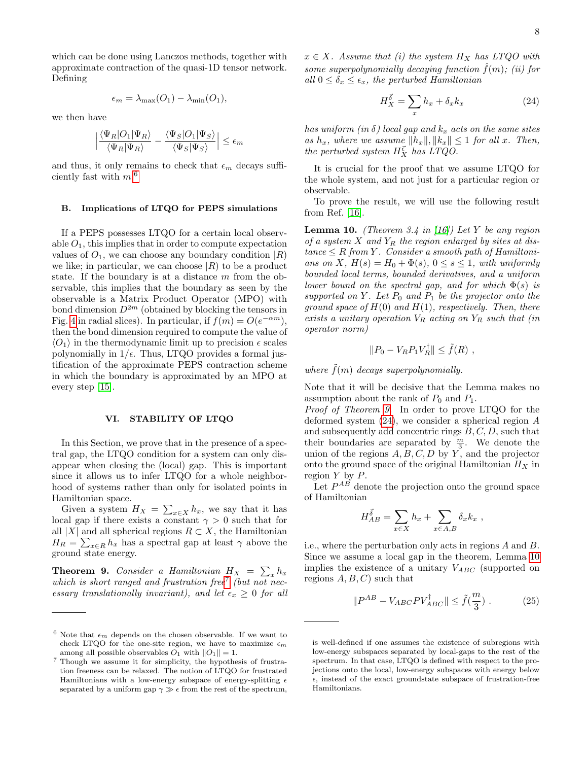which can be done using Lanczos methods, together with approximate contraction of the quasi-1D tensor network. Defining

$$
\epsilon_m = \lambda_{\max}(O_1) - \lambda_{\min}(O_1),
$$

we then have

$$
\Big|\frac{\langle\Psi_R|O_1|\Psi_R\rangle}{\langle\Psi_R|\Psi_R\rangle}-\frac{\langle\Psi_S|O_1|\Psi_S\rangle}{\langle\Psi_S|\Psi_S\rangle}\Big|\leq\epsilon_m
$$

and thus, it only remains to check that  $\epsilon_m$  decays sufficiently fast with  $m<sup>6</sup>$  $m<sup>6</sup>$  $m<sup>6</sup>$ 

# B. Implications of LTQO for PEPS simulations

If a PEPS possesses LTQO for a certain local observable  $O_1$ , this implies that in order to compute expectation values of  $O_1$ , we can choose any boundary condition  $|R\rangle$ we like; in particular, we can choose  $|R\rangle$  to be a product state. If the boundary is at a distance  $m$  from the observable, this implies that the boundary as seen by the observable is a Matrix Product Operator (MPO) with bond dimension  $D^{2m}$  (obtained by blocking the tensors in Fig. [4](#page-6-0) in radial slices). In particular, if  $f(m) = O(e^{-\alpha m})$ , then the bond dimension required to compute the value of  $\langle O_1 \rangle$  in the thermodynamic limit up to precision  $\epsilon$  scales polynomially in  $1/\epsilon$ . Thus, LTQO provides a formal justification of the approximate PEPS contraction scheme in which the boundary is approximated by an MPO at every step [\[15\]](#page-9-11).

# VI. STABILITY OF LTQO

In this Section, we prove that in the presence of a spectral gap, the LTQO condition for a system can only disappear when closing the (local) gap. This is important since it allows us to infer LTQO for a whole neighborhood of systems rather than only for isolated points in Hamiltonian space.

Given a system  $H_X = \sum_{x \in X} h_x$ , we say that it has local gap if there exists a constant  $\gamma > 0$  such that for all |X| and all spherical regions  $R \subset X$ , the Hamiltonian  $H_R = \sum_{x \in R} h_x$  has a spectral gap at least  $\gamma$  above the ground state energy.

<span id="page-7-2"></span>**Theorem 9.** Consider a Hamiltonian  $H_X = \sum_x h_x$ which is short ranged and frustration free<sup>[7](#page-7-1)</sup> (but not necessary translationally invariant), and let  $\epsilon_r > 0$  for all  $x \in X$ . Assume that (i) the system  $H_X$  has LTQO with some superpolynomially decaying function  $\hat{f}(m)$ ; (ii) for all  $0 \leq \delta_x \leq \epsilon_x$ , the perturbed Hamiltonian

<span id="page-7-3"></span>
$$
H_X^{\vec{\delta}} = \sum_x h_x + \delta_x k_x \tag{24}
$$

has uniform (in  $\delta$ ) local gap and  $k_x$  acts on the same sites as  $h_x$ , where we assume  $||h_x||, ||k_x|| \leq 1$  for all x. Then, the perturbed system  $H_X^{\vec{\epsilon}}$  has LTQO.

It is crucial for the proof that we assume LTQO for the whole system, and not just for a particular region or observable.

To prove the result, we will use the following result from Ref. [\[16\]](#page-9-12).

<span id="page-7-4"></span>**Lemma 10.** (Theorem 3.4 in [\[16\]](#page-9-12)) Let Y be any region of a system X and  $Y_R$  the region enlarged by sites at dis $tance \leq R from Y$ . Consider a smooth path of Hamiltonians on X,  $H(s) = H_0 + \Phi(s)$ ,  $0 \le s \le 1$ , with uniformly bounded local terms, bounded derivatives, and a uniform lower bound on the spectral gap, and for which  $\Phi(s)$  is supported on Y. Let  $P_0$  and  $P_1$  be the projector onto the ground space of  $H(0)$  and  $H(1)$ , respectively. Then, there exists a unitary operation  $V_R$  acting on  $Y_R$  such that (in operator norm)

$$
||P_0 - V_R P_1 V_R^{\dagger}|| \le \tilde{f}(R) ,
$$

where  $\tilde{f}(m)$  decays superpolynomially.

Note that it will be decisive that the Lemma makes no assumption about the rank of  $P_0$  and  $P_1$ .

Proof of Theorem [9.](#page-7-2) In order to prove LTQO for the deformed system [\(24\)](#page-7-3), we consider a spherical region A and subsequently add concentric rings  $B, C, D$ , such that their boundaries are separated by  $\frac{m}{3}$ . We denote the union of the regions  $A, B, C, D$  by Y, and the projector onto the ground space of the original Hamiltonian  ${\cal H}_X$  in region  $Y$  by  $P$ .

Let  $P^{AB}$  denote the projection onto the ground space of Hamiltonian

$$
H_{AB}^{\vec{\delta}} = \sum_{x \in X} h_x + \sum_{x \in A, B} \delta_x k_x ,
$$

i.e., where the perturbation only acts in regions A and B. Since we assume a local gap in the theorem, Lemma [10](#page-7-4) implies the existence of a unitary  $V_{ABC}$  (supported on regions  $A, B, C$  such that

<span id="page-7-5"></span>
$$
||P^{AB} - V_{ABC}PV_{ABC}^{\dagger}|| \le \tilde{f}(\frac{m}{3}) .
$$
 (25)

<span id="page-7-0"></span> $^6$  Note that  $\epsilon_m$  depends on the chosen observable. If we want to check LTQO for the one-site region, we have to maximize  $\epsilon_m$ among all possible observables  $O_1$  with  $||O_1|| = 1$ .

<span id="page-7-1"></span><sup>7</sup> Though we assume it for simplicity, the hypothesis of frustration freeness can be relaxed. The notion of LTQO for frustrated Hamiltonians with a low-energy subspace of energy-splitting  $\epsilon$ separated by a uniform gap  $\gamma \gg \epsilon$  from the rest of the spectrum,

is well-defined if one assumes the existence of subregions with low-energy subspaces separated by local-gaps to the rest of the spectrum. In that case, LTQO is defined with respect to the projections onto the local, low-energy subspaces with energy below  $\epsilon$ , instead of the exact groundstate subspace of frustration-free Hamiltonians.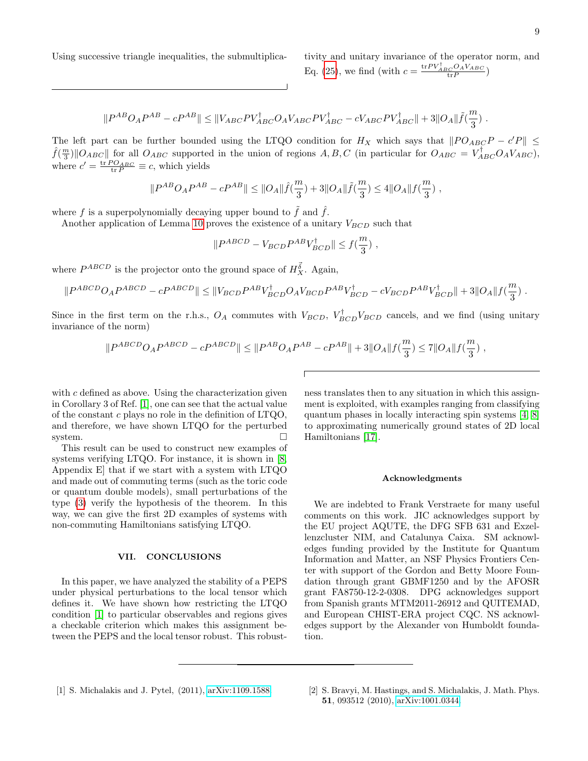Using successive triangle inequalities, the submultiplica- tivity and unitary invariance of the operator norm, and

Eq. [\(25\)](#page-7-5), we find (with  $c = \frac{\text{tr}PV_{ABC}^{\dagger}OAVA_{ABC}}{\text{tr}P})$ 

$$
\|P^{AB}O_{A}P^{AB}-cP^{AB}\|\leq\|V_{ABC}PV_{ABC}^{\dagger}O_{A}V_{ABC}PV_{ABC}^{\dagger}-cV_{ABC}PV_{ABC}^{\dagger}\|+3\|O_{A}\|\tilde{f}(\frac{m}{3})\;.
$$

The left part can be further bounded using the LTQO condition for  $H_X$  which says that  $||PO_{ABC}P - c'P|| \le$  $\hat{f}(\frac{m}{3})$  || $O_{ABC}$  || for all  $O_{ABC}$  supported in the union of regions  $A, B, C$  (in particular for  $O_{ABC} = V_{ABC}^{\dagger} O_A V_{ABC}$ ), where  $c' = \frac{\text{tr }PO_{ABC}}{\text{tr }P} \equiv c$ , which yields

$$
\|P^{AB}O_{A}P^{AB}-cP^{AB}\|\leq \|O_{A}\|\widehat{f}(\frac{m}{3})+3\|O_{A}\|\widetilde{f}(\frac{m}{3})\leq 4\|O_{A}\|f(\frac{m}{3})\;,
$$

where f is a superpolynomially decaying upper bound to  $\tilde{f}$  and  $\hat{f}$ .

Another application of Lemma [10](#page-7-4) proves the existence of a unitary  $V_{BCD}$  such that

$$
\|P^{ABCD} - V_{BCD}P^{AB}V_{BCD}^{\dagger}\| \le f(\frac{m}{3})\;,
$$

where  $P^{ABCD}$  is the projector onto the ground space of  $H_X^{\vec{\delta}}$ . Again,

$$
|P^{ABCD}O_{A}P^{ABCD} - cP^{ABCD}|| \leq ||V_{BCD}P^{AB}V_{BCD}^{\dagger}O_{A}V_{BCD}P^{AB}V_{BCD}^{\dagger} - cV_{BCD}P^{AB}V_{BCD}^{\dagger}|| + 3||O_{A}||f(\frac{m}{3}).
$$

Since in the first term on the r.h.s.,  $O_A$  commutes with  $V_{BCD}$ ,  $V_{BCD}^{\dagger}$  cancels, and we find (using unitary invariance of the norm)

$$
||P^{ABCD}O_A P^{ABCD} - cP^{ABCD}|| \le ||P^{AB}O_A P^{AB} - cP^{AB}|| + 3||O_A||f(\frac{m}{3}) \le 7||O_A||f(\frac{m}{3}),
$$

with c defined as above. Using the characterization given in Corollary 3 of Ref. [\[1\]](#page-8-0), one can see that the actual value of the constant c plays no role in the definition of  $LTQO$ , and therefore, we have shown LTQO for the perturbed system.

 $\overline{\phantom{a}}$ 

This result can be used to construct new examples of systems verifying LTQO. For instance, it is shown in [\[8,](#page-9-4) Appendix E] that if we start with a system with LTQO and made out of commuting terms (such as the toric code or quantum double models), small perturbations of the type [\(3\)](#page-2-5) verify the hypothesis of the theorem. In this way, we can give the first 2D examples of systems with non-commuting Hamiltonians satisfying LTQO.

### VII. CONCLUSIONS

In this paper, we have analyzed the stability of a PEPS under physical perturbations to the local tensor which defines it. We have shown how restricting the LTQO condition [\[1\]](#page-8-0) to particular observables and regions gives a checkable criterion which makes this assignment between the PEPS and the local tensor robust. This robust-

ness translates then to any situation in which this assignment is exploited, with examples ranging from classifying quantum phases in locally interacting spin systems [\[4,](#page-9-1) [8\]](#page-9-4) to approximating numerically ground states of 2D local Hamiltonians [\[17\]](#page-9-13).

### Acknowledgments

<span id="page-8-1"></span>We are indebted to Frank Verstraete for many useful comments on this work. JIC acknowledges support by the EU project AQUTE, the DFG SFB 631 and Exzellenzcluster NIM, and Catalunya Caixa. SM acknowledges funding provided by the Institute for Quantum Information and Matter, an NSF Physics Frontiers Center with support of the Gordon and Betty Moore Foundation through grant GBMF1250 and by the AFOSR grant FA8750-12-2-0308. DPG acknowledges support from Spanish grants MTM2011-26912 and QUITEMAD, and European CHIST-ERA project CQC. NS acknowledges support by the Alexander von Humboldt foundation.

<span id="page-8-0"></span><sup>[1]</sup> S. Michalakis and J. Pytel, (2011), [arXiv:1109.1588.](http://arxiv.org/abs/1109.1588) [2] S. Bravyi, M. Hastings, and S. Michalakis, J. Math. Phys. 51, 093512 (2010), [arXiv:1001.0344.](http://arxiv.org/abs/1001.0344)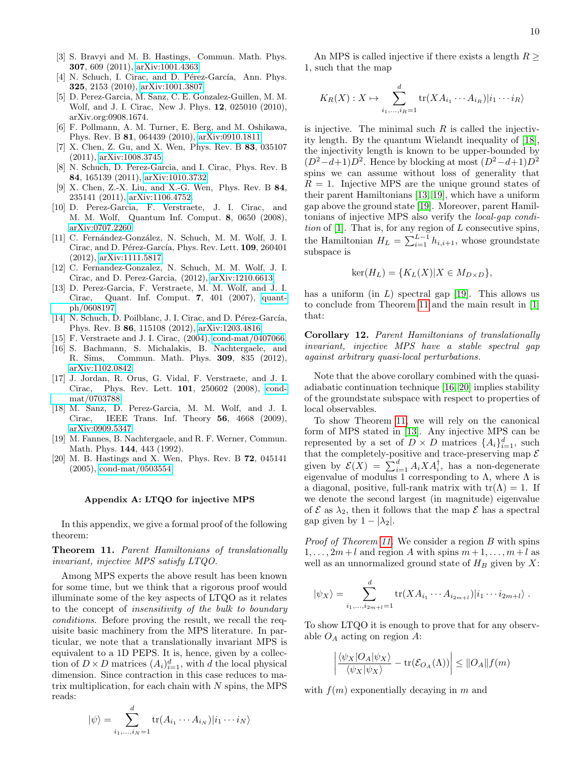- <span id="page-9-0"></span>[3] S. Bravyi and M. B. Hastings, Commun. Math. Phys. 307, 609 (2011), [arXiv:1001.4363.](http://arxiv.org/abs/1001.4363)
- <span id="page-9-1"></span>[4] N. Schuch, I. Cirac, and D. Pérez-García, Ann. Phys. 325, 2153 (2010), [arXiv:1001.3807.](http://arxiv.org/abs/1001.3807)
- <span id="page-9-2"></span>[5] D. Perez-Garcia, M. Sanz, C. E. Gonzalez-Guillen, M. M. Wolf, and J. I. Cirac, New J. Phys. 12, 025010 (2010), arXiv.org:0908.1674.
- <span id="page-9-3"></span>[6] F. Pollmann, A. M. Turner, E. Berg, and M. Oshikawa, Phys. Rev. B 81, 064439 (2010), [arXiv:0910.1811.](http://arxiv.org/abs/0910.1811)
- [7] X. Chen, Z. Gu, and X. Wen, Phys. Rev. B 83, 035107 (2011), [arXiv:1008.3745.](http://arxiv.org/abs/1008.3745)
- <span id="page-9-4"></span>[8] N. Schuch, D. Perez-Garcia, and I. Cirac, Phys. Rev. B 84, 165139 (2011), [arXiv:1010.3732.](http://arxiv.org/abs/1010.3732)
- <span id="page-9-5"></span>[9] X. Chen, Z.-X. Liu, and X.-G. Wen, Phys. Rev. B 84, 235141 (2011), [arXiv:1106.4752.](http://arxiv.org/abs/1106.4752)
- <span id="page-9-6"></span>[10] D. Perez-Garcia, F. Verstraete, J. I. Cirac, and M. M. Wolf, Quantum Inf. Comput. 8, 0650 (2008), [arXiv:0707.2260.](http://arxiv.org/abs/0707.2260)
- <span id="page-9-7"></span>[11] C. Fernández-González, N. Schuch, M. M. Wolf, J. I. Cirac, and D. Pérez-García, Phys. Rev. Lett. 109, 260401 (2012), [arXiv:1111.5817.](http://arxiv.org/abs/1111.5817)
- <span id="page-9-8"></span>[12] C. Fernandez-Gonzalez, N. Schuch, M. M. Wolf, J. I. Cirac, and D. Perez-Garcia, (2012), [arXiv:1210.6613.](http://arxiv.org/abs/1210.6613)
- <span id="page-9-10"></span>[13] D. Perez-Garcia, F. Verstraete, M. M. Wolf, and J. I. Cirac, Quant. Inf. Comput. 7, 401 (2007), [quant](http://arxiv.org/abs/quant-ph/0608197)[ph/0608197.](http://arxiv.org/abs/quant-ph/0608197)
- <span id="page-9-9"></span>[14] N. Schuch, D. Poilblanc, J. I. Cirac, and D. Pérez-García, Phys. Rev. B 86, 115108 (2012), [arXiv:1203.4816.](http://arxiv.org/abs/1203.4816)
- <span id="page-9-11"></span>[15] F. Verstraete and J. I. Cirac, (2004), [cond-mat/0407066.](http://arxiv.org/abs/cond-mat/0407066)
- <span id="page-9-12"></span>[16] S. Bachmann, S. Michalakis, B. Nachtergaele, and R. Sims, Commun. Math. Phys. 309, 835 (2012), [arXiv:1102.0842.](http://arxiv.org/abs/1102.0842)
- <span id="page-9-13"></span>[17] J. Jordan, R. Orus, G. Vidal, F. Verstraete, and J. I. Cirac, Phys. Rev. Lett. 101, 250602 (2008), [cond](http://arxiv.org/abs/cond-mat/0703788)[mat/0703788.](http://arxiv.org/abs/cond-mat/0703788)
- <span id="page-9-14"></span>[18] M. Sanz, D. Perez-Garcia, M. M. Wolf, and J. I. Cirac, IEEE Trans. Inf. Theory 56, 4668 (2009), [arXiv:0909.5347.](http://arxiv.org/abs/0909.5347)
- <span id="page-9-15"></span>[19] M. Fannes, B. Nachtergaele, and R. F. Werner, Commun. Math. Phys. 144, 443 (1992).
- <span id="page-9-17"></span>[20] M. B. Hastings and X. Wen, Phys. Rev. B 72, 045141 (2005), [cond-mat/0503554.](http://arxiv.org/abs/cond-mat/0503554)

### Appendix A: LTQO for injective MPS

In this appendix, we give a formal proof of the following theorem:

# <span id="page-9-16"></span>Theorem 11. Parent Hamiltonians of translationally invariant, injective MPS satisfy LTQO.

Among MPS experts the above result has been known for some time, but we think that a rigorous proof would illuminate some of the key aspects of LTQO as it relates to the concept of insensitivity of the bulk to boundary conditions. Before proving the result, we recall the requisite basic machinery from the MPS literature. In particular, we note that a translationally invariant MPS is equivalent to a 1D PEPS. It is, hence, given by a collection of  $D \times D$  matrices  $(A_i)_{i=1}^d$ , with d the local physical dimension. Since contraction in this case reduces to matrix multiplication, for each chain with  $N$  spins, the MPS reads:

An MPS is called injective if there exists a length 
$$
R \geq 1
$$
, such that the map

$$
K_R(X): X \mapsto \sum_{i_1,\dots,i_R=1}^d \text{tr}(XA_{i_1}\cdots A_{i_R})|i_1\cdots i_R\rangle
$$

is injective. The minimal such  $R$  is called the injectivity length. By the quantum Wielandt inequality of [\[18\]](#page-9-14), the injectivity length is known to be upper-bounded by  $(D^2-d+1)D^2$ . Hence by blocking at most  $(D^2-d+1)D^2$ spins we can assume without loss of generality that  $R = 1$ . Injective MPS are the unique ground states of their parent Hamiltonians [\[13,](#page-9-10) [19\]](#page-9-15), which have a uniform gap above the ground state [\[19\]](#page-9-15). Moreover, parent Hamiltonians of injective MPS also verify the local-gap condition of  $[1]$ . That is, for any region of L consecutive spins, the Hamiltonian  $H_L = \sum_{i=1}^{L-1} h_{i,i+1}$ , whose groundstate subspace is

$$
ker(H_L) = \{K_L(X)|X \in M_{D \times D}\},\
$$

has a uniform (in  $L$ ) spectral gap [\[19\]](#page-9-15). This allows us to conclude from Theorem [11](#page-9-16) and the main result in [\[1\]](#page-8-0) that:

Corollary 12. Parent Hamiltonians of translationally invariant, injective MPS have a stable spectral gap against arbitrary quasi-local perturbations.

Note that the above corollary combined with the quasiadiabatic continuation technique [\[16,](#page-9-12) [20\]](#page-9-17) implies stability of the groundstate subspace with respect to properties of local observables.

To show Theorem [11,](#page-9-16) we will rely on the canonical form of MPS stated in [\[13\]](#page-9-10). Any injective MPS can be represented by a set of  $D \times D$  matrices  $\{A_i\}_{i=1}^d$ , such that the completely-positive and trace-preserving map  $\mathcal E$ given by  $\mathcal{E}(X) = \sum_{i=1}^d A_i X A_i^{\dagger}$ , has a non-degenerate eigenvalue of modulus 1 corresponding to  $\Lambda$ , where  $\Lambda$  is a diagonal, positive, full-rank matrix with  $tr(\Lambda) = 1$ . If we denote the second largest (in magnitude) eigenvalue of  $\mathcal E$  as  $\lambda_2$ , then it follows that the map  $\mathcal E$  has a spectral gap given by  $1 - |\lambda_2|$ .

Proof of Theorem [11.](#page-9-16) We consider a region B with spins  $1, \ldots, 2m+l$  and region A with spins  $m+1, \ldots, m+l$  as well as an unnormalized ground state of  $H_B$  given by X:

$$
|\psi_X\rangle = \sum_{i_1,\ldots,i_{2m+l}=1}^d \text{tr}(XA_{i_1}\cdots A_{i_{2m+l}})|i_1\cdots i_{2m+l}\rangle.
$$

To show LTQO it is enough to prove that for any observable  $O<sub>A</sub>$  acting on region A:

$$
\left| \frac{\langle \psi_X | O_A | \psi_X \rangle}{\langle \psi_X | \psi_X \rangle} - \text{tr}(\mathcal{E}_{O_A}(\Lambda)) \right| \leq ||O_A|| f(m)
$$

with  $f(m)$  exponentially decaying in m and

$$
|\psi\rangle = \sum_{i_1,\dots,i_N=1}^{n} tr(A_{i_1} \cdots A_{i_N}) |i_1 \cdots i_N\rangle
$$

 $\overline{a}$